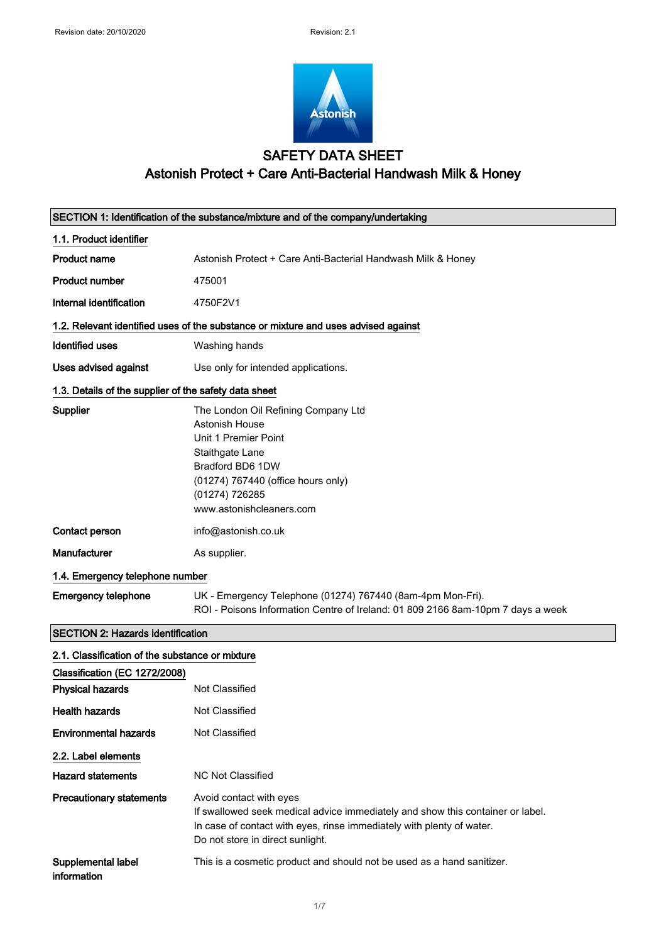

# SAFETY DATA SHEET Astonish Protect + Care Anti-Bacterial Handwash Milk & Honey

|                                                                                                             | SECTION 1: Identification of the substance/mixture and of the company/undertaking                                                                                                                                      |  |
|-------------------------------------------------------------------------------------------------------------|------------------------------------------------------------------------------------------------------------------------------------------------------------------------------------------------------------------------|--|
| 1.1. Product identifier                                                                                     |                                                                                                                                                                                                                        |  |
| <b>Product name</b>                                                                                         | Astonish Protect + Care Anti-Bacterial Handwash Milk & Honey                                                                                                                                                           |  |
| <b>Product number</b>                                                                                       | 475001                                                                                                                                                                                                                 |  |
| Internal identification                                                                                     | 4750F2V1                                                                                                                                                                                                               |  |
| 1.2. Relevant identified uses of the substance or mixture and uses advised against                          |                                                                                                                                                                                                                        |  |
| <b>Identified uses</b>                                                                                      | Washing hands                                                                                                                                                                                                          |  |
| Uses advised against                                                                                        | Use only for intended applications.                                                                                                                                                                                    |  |
| 1.3. Details of the supplier of the safety data sheet                                                       |                                                                                                                                                                                                                        |  |
| <b>Supplier</b>                                                                                             | The London Oil Refining Company Ltd<br>Astonish House<br>Unit 1 Premier Point<br>Staithgate Lane<br>Bradford BD6 1DW<br>(01274) 767440 (office hours only)<br>(01274) 726285<br>www.astonishcleaners.com               |  |
| <b>Contact person</b>                                                                                       | info@astonish.co.uk                                                                                                                                                                                                    |  |
| <b>Manufacturer</b>                                                                                         | As supplier.                                                                                                                                                                                                           |  |
| 1.4. Emergency telephone number                                                                             |                                                                                                                                                                                                                        |  |
| <b>Emergency telephone</b>                                                                                  | UK - Emergency Telephone (01274) 767440 (8am-4pm Mon-Fri).<br>ROI - Poisons Information Centre of Ireland: 01 809 2166 8am-10pm 7 days a week                                                                          |  |
| <b>SECTION 2: Hazards identification</b>                                                                    |                                                                                                                                                                                                                        |  |
| 2.1. Classification of the substance or mixture<br>Classification (EC 1272/2008)<br><b>Physical hazards</b> | Not Classified                                                                                                                                                                                                         |  |
|                                                                                                             |                                                                                                                                                                                                                        |  |
| <b>Health hazards</b>                                                                                       | <b>Not Classified</b>                                                                                                                                                                                                  |  |
| <b>Environmental hazards</b>                                                                                | Not Classified                                                                                                                                                                                                         |  |
| 2.2. Label elements                                                                                         |                                                                                                                                                                                                                        |  |
| <b>Hazard statements</b>                                                                                    | <b>NC Not Classified</b>                                                                                                                                                                                               |  |
| <b>Precautionary statements</b>                                                                             | Avoid contact with eyes<br>If swallowed seek medical advice immediately and show this container or label.<br>In case of contact with eyes, rinse immediately with plenty of water.<br>Do not store in direct sunlight. |  |
| Supplemental label<br>information                                                                           | This is a cosmetic product and should not be used as a hand sanitizer.                                                                                                                                                 |  |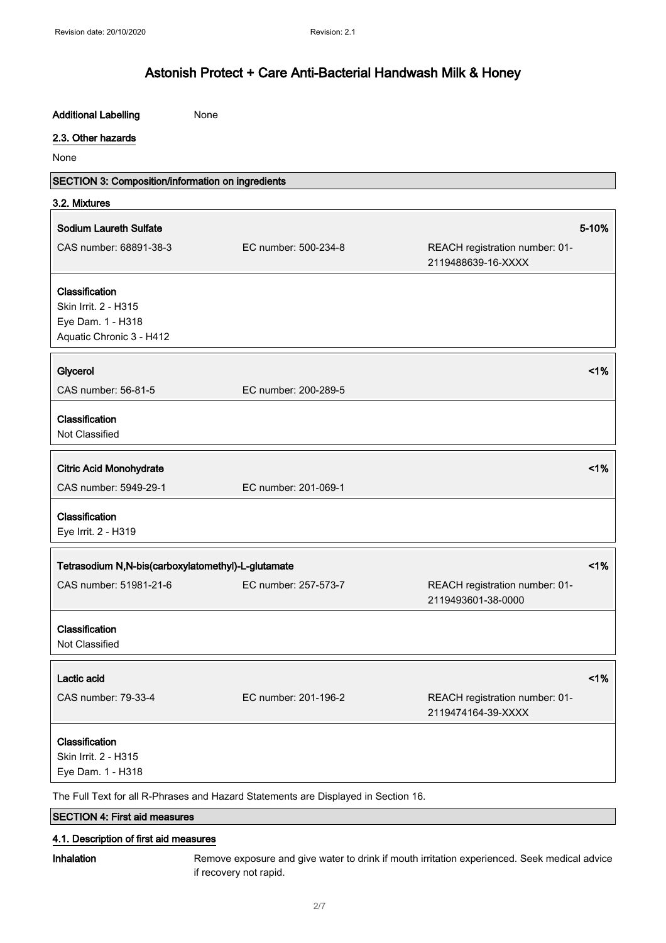| <b>Additional Labelling</b>                                                        | None                 |                                                      |        |
|------------------------------------------------------------------------------------|----------------------|------------------------------------------------------|--------|
| 2.3. Other hazards                                                                 |                      |                                                      |        |
| None                                                                               |                      |                                                      |        |
| SECTION 3: Composition/information on ingredients                                  |                      |                                                      |        |
| 3.2. Mixtures                                                                      |                      |                                                      |        |
| <b>Sodium Laureth Sulfate</b>                                                      |                      |                                                      | 5-10%  |
| CAS number: 68891-38-3                                                             | EC number: 500-234-8 | REACH registration number: 01-                       |        |
|                                                                                    |                      | 2119488639-16-XXXX                                   |        |
| Classification                                                                     |                      |                                                      |        |
| Skin Irrit. 2 - H315                                                               |                      |                                                      |        |
| Eye Dam. 1 - H318                                                                  |                      |                                                      |        |
| Aquatic Chronic 3 - H412                                                           |                      |                                                      |        |
|                                                                                    |                      |                                                      |        |
| Glycerol                                                                           |                      |                                                      | $<$ 1% |
| CAS number: 56-81-5                                                                | EC number: 200-289-5 |                                                      |        |
| Classification                                                                     |                      |                                                      |        |
| Not Classified                                                                     |                      |                                                      |        |
|                                                                                    |                      |                                                      |        |
| <b>Citric Acid Monohydrate</b>                                                     |                      |                                                      | 1%     |
| CAS number: 5949-29-1                                                              | EC number: 201-069-1 |                                                      |        |
| Classification                                                                     |                      |                                                      |        |
| Eye Irrit. 2 - H319                                                                |                      |                                                      |        |
|                                                                                    |                      |                                                      |        |
| Tetrasodium N,N-bis(carboxylatomethyl)-L-glutamate                                 |                      |                                                      | $<$ 1% |
| CAS number: 51981-21-6                                                             | EC number: 257-573-7 | REACH registration number: 01-                       |        |
|                                                                                    |                      | 2119493601-38-0000                                   |        |
| Classification                                                                     |                      |                                                      |        |
| Not Classified                                                                     |                      |                                                      |        |
|                                                                                    |                      |                                                      |        |
| Lactic acid                                                                        |                      |                                                      | 1%     |
| CAS number: 79-33-4                                                                | EC number: 201-196-2 | REACH registration number: 01-<br>2119474164-39-XXXX |        |
|                                                                                    |                      |                                                      |        |
| Classification                                                                     |                      |                                                      |        |
| Skin Irrit. 2 - H315                                                               |                      |                                                      |        |
| Eye Dam. 1 - H318                                                                  |                      |                                                      |        |
| The Full Text for all R-Phrases and Hazard Statements are Displayed in Section 16. |                      |                                                      |        |
| <b>SECTION 4: First aid measures</b>                                               |                      |                                                      |        |

## 4.1. Description of first aid measures

Inhalation Remove exposure and give water to drink if mouth irritation experienced. Seek medical advice if recovery not rapid.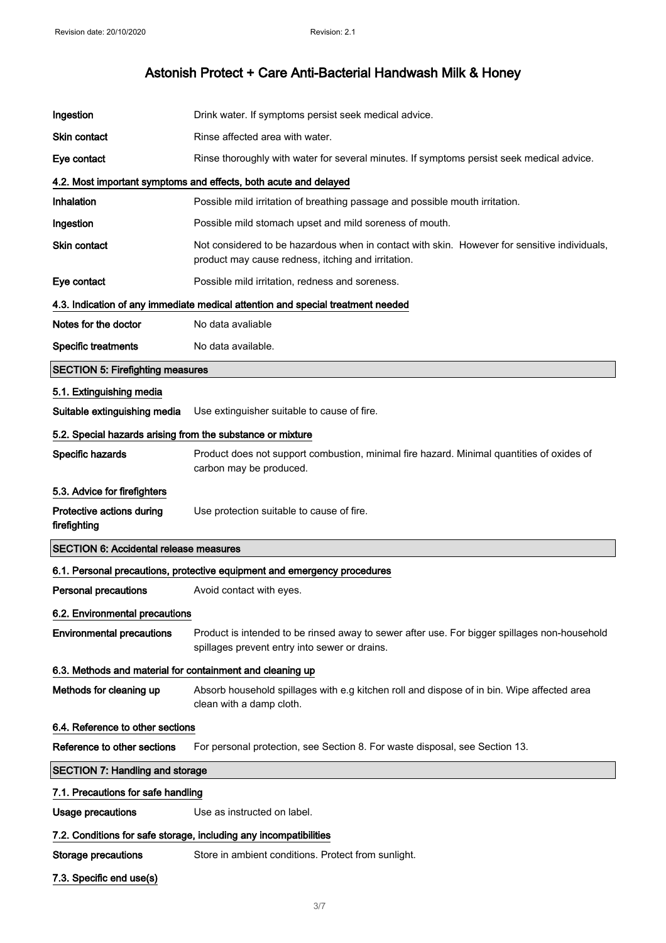| Ingestion                                                  | Drink water. If symptoms persist seek medical advice.                                                                                              |  |
|------------------------------------------------------------|----------------------------------------------------------------------------------------------------------------------------------------------------|--|
| <b>Skin contact</b>                                        | Rinse affected area with water.                                                                                                                    |  |
| Eye contact                                                | Rinse thoroughly with water for several minutes. If symptoms persist seek medical advice.                                                          |  |
|                                                            | 4.2. Most important symptoms and effects, both acute and delayed                                                                                   |  |
| <b>Inhalation</b>                                          | Possible mild irritation of breathing passage and possible mouth irritation.                                                                       |  |
| Ingestion                                                  | Possible mild stomach upset and mild soreness of mouth.                                                                                            |  |
| <b>Skin contact</b>                                        | Not considered to be hazardous when in contact with skin. However for sensitive individuals.<br>product may cause redness, itching and irritation. |  |
| Eye contact                                                | Possible mild irritation, redness and soreness.                                                                                                    |  |
|                                                            | 4.3. Indication of any immediate medical attention and special treatment needed                                                                    |  |
| Notes for the doctor                                       | No data avaliable                                                                                                                                  |  |
| <b>Specific treatments</b>                                 | No data available.                                                                                                                                 |  |
| <b>SECTION 5: Firefighting measures</b>                    |                                                                                                                                                    |  |
| 5.1. Extinguishing media                                   |                                                                                                                                                    |  |
| Suitable extinguishing media                               | Use extinguisher suitable to cause of fire.                                                                                                        |  |
| 5.2. Special hazards arising from the substance or mixture |                                                                                                                                                    |  |
| Specific hazards                                           | Product does not support combustion, minimal fire hazard. Minimal quantities of oxides of<br>carbon may be produced.                               |  |
| 5.3. Advice for firefighters                               |                                                                                                                                                    |  |
| Protective actions during<br>firefighting                  | Use protection suitable to cause of fire.                                                                                                          |  |
| <b>SECTION 6: Accidental release measures</b>              |                                                                                                                                                    |  |
|                                                            | 6.1. Personal precautions, protective equipment and emergency procedures                                                                           |  |
| <b>Personal precautions</b>                                | Avoid contact with eyes.                                                                                                                           |  |
| 6.2. Environmental precautions                             |                                                                                                                                                    |  |
| <b>Environmental precautions</b>                           | Product is intended to be rinsed away to sewer after use. For bigger spillages non-household<br>spillages prevent entry into sewer or drains.      |  |
| 6.3. Methods and material for containment and cleaning up  |                                                                                                                                                    |  |
|                                                            |                                                                                                                                                    |  |
| Methods for cleaning up                                    | Absorb household spillages with e.g kitchen roll and dispose of in bin. Wipe affected area<br>clean with a damp cloth.                             |  |
| 6.4. Reference to other sections                           |                                                                                                                                                    |  |
| Reference to other sections                                | For personal protection, see Section 8. For waste disposal, see Section 13.                                                                        |  |
| <b>SECTION 7: Handling and storage</b>                     |                                                                                                                                                    |  |
| 7.1. Precautions for safe handling                         |                                                                                                                                                    |  |
| Usage precautions                                          | Use as instructed on label.                                                                                                                        |  |
|                                                            | 7.2. Conditions for safe storage, including any incompatibilities                                                                                  |  |
| <b>Storage precautions</b>                                 | Store in ambient conditions. Protect from sunlight.                                                                                                |  |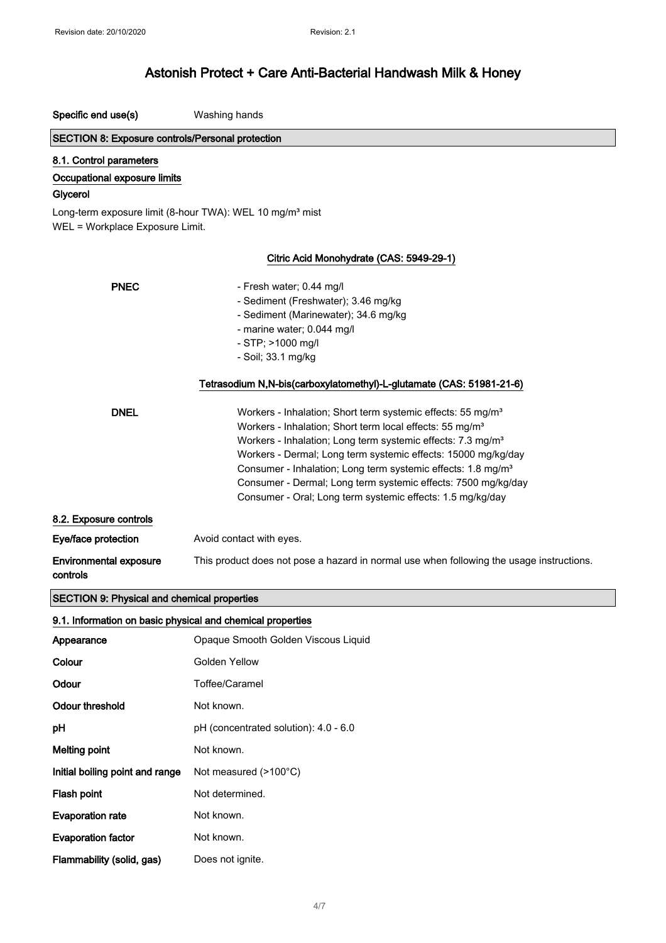Specific end use(s) Washing hands

Initial boiling point and range Not measured (>100°C)

Flash point Not determined.

Flammability (solid, gas) Does not ignite.

Evaporation rate Mot known.

Evaporation factor **Not known**.

## Astonish Protect + Care Anti-Bacterial Handwash Milk & Honey

| <b>SECTION 8: Exposure controls/Personal protection</b>    |                                                                                                                                                 |
|------------------------------------------------------------|-------------------------------------------------------------------------------------------------------------------------------------------------|
| 8.1. Control parameters                                    |                                                                                                                                                 |
| Occupational exposure limits                               |                                                                                                                                                 |
| Glycerol                                                   |                                                                                                                                                 |
| WEL = Workplace Exposure Limit.                            | Long-term exposure limit (8-hour TWA): WEL 10 mg/m <sup>3</sup> mist                                                                            |
|                                                            | Citric Acid Monohydrate (CAS: 5949-29-1)                                                                                                        |
| <b>PNEC</b>                                                | - Fresh water; 0.44 mg/l                                                                                                                        |
|                                                            | - Sediment (Freshwater); 3.46 mg/kg                                                                                                             |
|                                                            | - Sediment (Marinewater); 34.6 mg/kg                                                                                                            |
|                                                            | - marine water; 0.044 mg/l                                                                                                                      |
|                                                            | - STP; >1000 mg/l                                                                                                                               |
|                                                            | - Soil; 33.1 mg/kg                                                                                                                              |
|                                                            | Tetrasodium N,N-bis(carboxylatomethyl)-L-glutamate (CAS: 51981-21-6)                                                                            |
| <b>DNEL</b>                                                | Workers - Inhalation; Short term systemic effects: 55 mg/m <sup>3</sup><br>Workers - Inhalation; Short term local effects: 55 mg/m <sup>3</sup> |
|                                                            | Workers - Inhalation; Long term systemic effects: 7.3 mg/m <sup>3</sup>                                                                         |
|                                                            | Workers - Dermal; Long term systemic effects: 15000 mg/kg/day                                                                                   |
|                                                            | Consumer - Inhalation; Long term systemic effects: 1.8 mg/m <sup>3</sup>                                                                        |
|                                                            | Consumer - Dermal; Long term systemic effects: 7500 mg/kg/day                                                                                   |
|                                                            | Consumer - Oral; Long term systemic effects: 1.5 mg/kg/day                                                                                      |
| 8.2. Exposure controls                                     |                                                                                                                                                 |
| Eye/face protection                                        | Avoid contact with eyes.                                                                                                                        |
| <b>Environmental exposure</b><br>controls                  | This product does not pose a hazard in normal use when following the usage instructions.                                                        |
| SECTION 9: Physical and chemical properties                |                                                                                                                                                 |
| 9.1. Information on basic physical and chemical properties |                                                                                                                                                 |
| Appearance                                                 | Opaque Smooth Golden Viscous Liquid                                                                                                             |
| Colour                                                     | Golden Yellow                                                                                                                                   |
| Odour                                                      | Toffee/Caramel                                                                                                                                  |
| <b>Odour threshold</b>                                     | Not known.                                                                                                                                      |
| pH                                                         | pH (concentrated solution): 4.0 - 6.0                                                                                                           |
| <b>Melting point</b>                                       | Not known.                                                                                                                                      |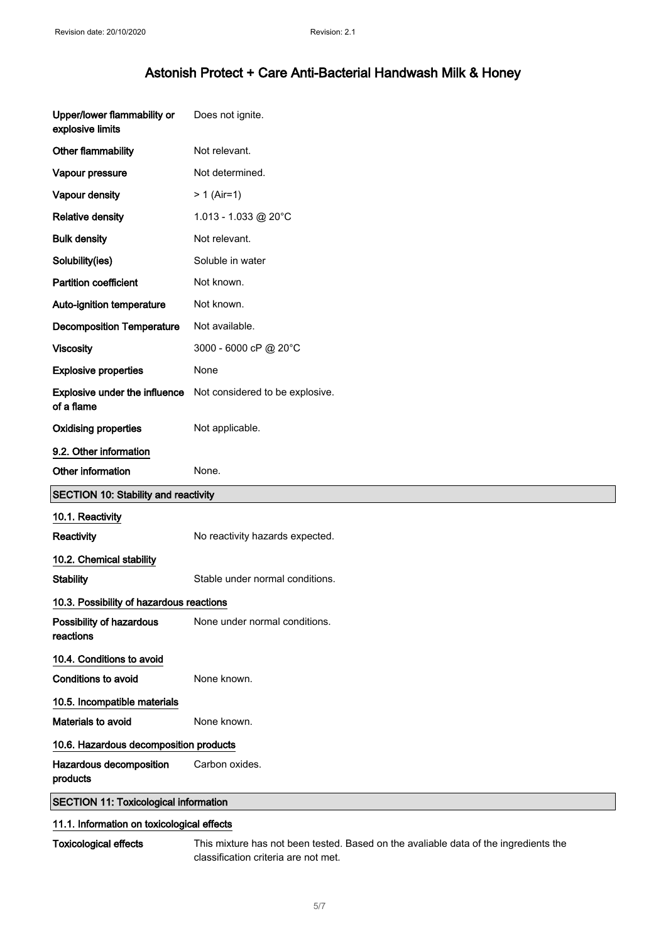| Upper/lower flammability or<br>explosive limits | Does not ignite.                |
|-------------------------------------------------|---------------------------------|
| Other flammability                              | Not relevant.                   |
| Vapour pressure                                 | Not determined.                 |
| Vapour density                                  | $> 1$ (Air=1)                   |
| <b>Relative density</b>                         | 1.013 - 1.033 @ 20°C            |
| <b>Bulk density</b>                             | Not relevant.                   |
| Solubility(ies)                                 | Soluble in water                |
| <b>Partition coefficient</b>                    | Not known.                      |
| Auto-ignition temperature                       | Not known.                      |
| <b>Decomposition Temperature</b>                | Not available.                  |
| <b>Viscosity</b>                                | 3000 - 6000 cP @ 20°C           |
| <b>Explosive properties</b>                     | None                            |
| Explosive under the influence<br>of a flame     | Not considered to be explosive. |
| <b>Oxidising properties</b>                     | Not applicable.                 |
| 9.2. Other information                          |                                 |
|                                                 |                                 |
| Other information                               | None.                           |
| <b>SECTION 10: Stability and reactivity</b>     |                                 |
| 10.1. Reactivity                                |                                 |
| Reactivity                                      | No reactivity hazards expected. |
| 10.2. Chemical stability                        |                                 |
| <b>Stability</b>                                | Stable under normal conditions. |
| 10.3. Possibility of hazardous reactions        |                                 |
| Possibility of hazardous<br>reactions           | None under normal conditions.   |
| 10.4. Conditions to avoid                       |                                 |
| Conditions to avoid                             | None known.                     |
| 10.5. Incompatible materials                    |                                 |
| Materials to avoid                              | None known.                     |
| 10.6. Hazardous decomposition products          |                                 |
| Hazardous decomposition<br>products             | Carbon oxides.                  |

## 11.1. Information on toxicological effects

Toxicological effects This mixture has not been tested. Based on the avaliable data of the ingredients the classification criteria are not met.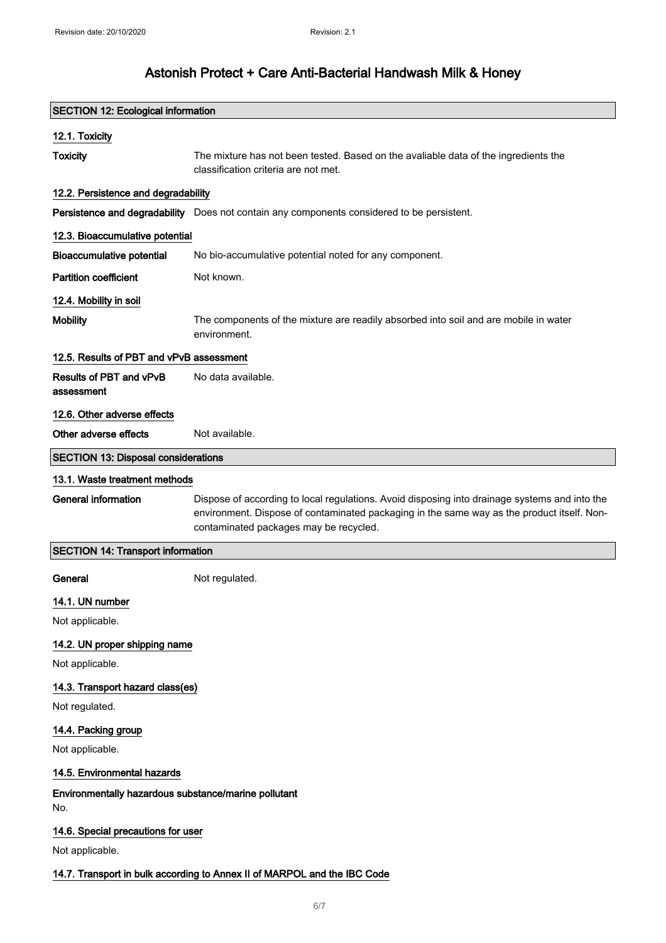| <b>SECTION 12: Ecological information</b>                                |                                                                                                                                                                                                                                       |  |
|--------------------------------------------------------------------------|---------------------------------------------------------------------------------------------------------------------------------------------------------------------------------------------------------------------------------------|--|
| 12.1. Toxicity                                                           |                                                                                                                                                                                                                                       |  |
| <b>Toxicity</b>                                                          | The mixture has not been tested. Based on the avaliable data of the ingredients the<br>classification criteria are not met.                                                                                                           |  |
| 12.2. Persistence and degradability                                      |                                                                                                                                                                                                                                       |  |
|                                                                          | Persistence and degradability Does not contain any components considered to be persistent.                                                                                                                                            |  |
| 12.3. Bioaccumulative potential                                          |                                                                                                                                                                                                                                       |  |
| <b>Bioaccumulative potential</b>                                         | No bio-accumulative potential noted for any component.                                                                                                                                                                                |  |
| <b>Partition coefficient</b>                                             | Not known.                                                                                                                                                                                                                            |  |
| 12.4. Mobility in soil                                                   |                                                                                                                                                                                                                                       |  |
| <b>Mobility</b>                                                          | The components of the mixture are readily absorbed into soil and are mobile in water<br>environment.                                                                                                                                  |  |
| 12.5. Results of PBT and vPvB assessment                                 |                                                                                                                                                                                                                                       |  |
| Results of PBT and vPvB<br>assessment                                    | No data available.                                                                                                                                                                                                                    |  |
| 12.6. Other adverse effects                                              |                                                                                                                                                                                                                                       |  |
| Other adverse effects                                                    | Not available.                                                                                                                                                                                                                        |  |
| <b>SECTION 13: Disposal considerations</b>                               |                                                                                                                                                                                                                                       |  |
| 13.1. Waste treatment methods                                            |                                                                                                                                                                                                                                       |  |
| <b>General information</b>                                               | Dispose of according to local regulations. Avoid disposing into drainage systems and into the<br>environment. Dispose of contaminated packaging in the same way as the product itself. Non-<br>contaminated packages may be recycled. |  |
| <b>SECTION 14: Transport information</b>                                 |                                                                                                                                                                                                                                       |  |
| General                                                                  | Not regulated.                                                                                                                                                                                                                        |  |
| 14.1. UN number                                                          |                                                                                                                                                                                                                                       |  |
| Not applicable.                                                          |                                                                                                                                                                                                                                       |  |
| 14.2. UN proper shipping name<br>Not applicable.                         |                                                                                                                                                                                                                                       |  |
| 14.3. Transport hazard class(es)                                         |                                                                                                                                                                                                                                       |  |
| Not regulated.                                                           |                                                                                                                                                                                                                                       |  |
| 14.4. Packing group<br>Not applicable.                                   |                                                                                                                                                                                                                                       |  |
| 14.5. Environmental hazards                                              |                                                                                                                                                                                                                                       |  |
| Environmentally hazardous substance/marine pollutant<br>No.              |                                                                                                                                                                                                                                       |  |
| 14.6. Special precautions for user                                       |                                                                                                                                                                                                                                       |  |
| Not applicable.                                                          |                                                                                                                                                                                                                                       |  |
| 14.7. Transport in bulk according to Annex II of MARPOL and the IBC Code |                                                                                                                                                                                                                                       |  |